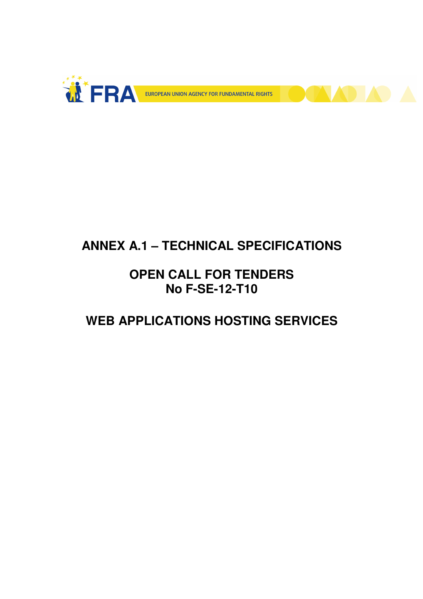



# **ANNEX A.1 – TECHNICAL SPECIFICATIONS**

# **OPEN CALL FOR TENDERS No F-SE-12-T10**

# **WEB APPLICATIONS HOSTING SERVICES**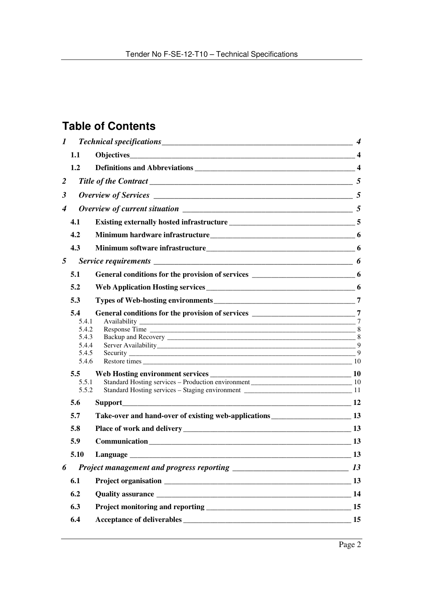# **Table of Contents**

| $\bm{l}$       |                                 |                                                                                      |    |
|----------------|---------------------------------|--------------------------------------------------------------------------------------|----|
|                | 1.1                             |                                                                                      |    |
|                | 1.2                             |                                                                                      |    |
| $\overline{2}$ |                                 |                                                                                      |    |
| 3              |                                 |                                                                                      |    |
| 4              |                                 | Overview of current situation $\frac{1}{1}$ 5                                        |    |
|                | 4.1                             |                                                                                      |    |
|                | 4.2                             |                                                                                      |    |
|                | 4.3                             |                                                                                      |    |
| 5              |                                 |                                                                                      |    |
|                | 5.1                             | General conditions for the provision of services ________________________________ 6  |    |
|                | 5.2                             |                                                                                      |    |
|                | 5.3                             |                                                                                      |    |
|                | 5.4<br>5.4.1<br>5.4.2<br>5.4.3  |                                                                                      |    |
|                | 5.4.4<br>5.4.5<br>5.4.6         |                                                                                      | 9  |
|                | $5.5^{\circ}$<br>5.5.1<br>5.5.2 |                                                                                      |    |
|                | 5.6                             |                                                                                      |    |
|                | 5.7                             | Take-over and hand-over of existing web-applications ____________________________ 13 |    |
|                | 5.8                             |                                                                                      |    |
|                | 5.9                             |                                                                                      |    |
|                | 5.10                            | Language                                                                             | 13 |
| 6              |                                 |                                                                                      | 13 |
|                | 6.1                             |                                                                                      |    |
|                | 6.2                             |                                                                                      |    |
|                | 6.3                             |                                                                                      |    |
|                | 6.4                             |                                                                                      |    |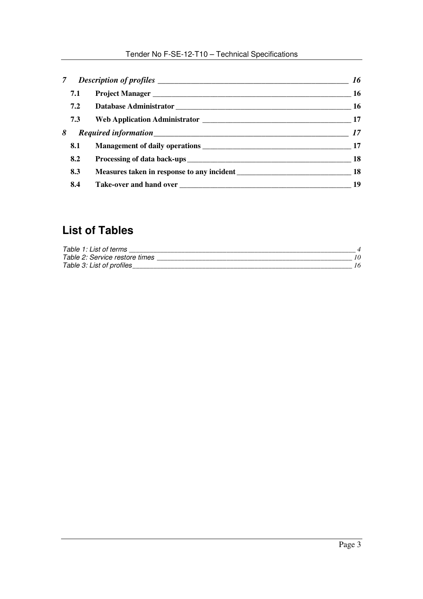# Tender No F-SE-12-T10 – Technical Specifications

|     | 16        |
|-----|-----------|
| 7.1 | 16        |
| 7.2 |           |
| 7.3 |           |
| 8   |           |
| 8.1 |           |
| 8.2 | <b>18</b> |
| 8.3 |           |
| 8.4 | 19        |

# **List of Tables**

| Table 1: List of terms         |  |
|--------------------------------|--|
| Table 2: Service restore times |  |
| Table 3: List of profiles      |  |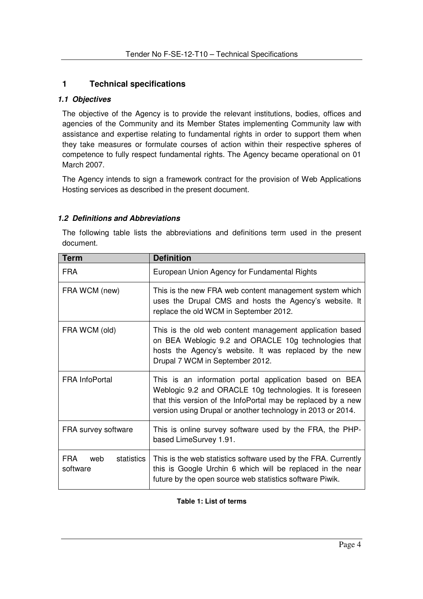# **1 Technical specifications**

#### **1.1 Objectives**

The objective of the Agency is to provide the relevant institutions, bodies, offices and agencies of the Community and its Member States implementing Community law with assistance and expertise relating to fundamental rights in order to support them when they take measures or formulate courses of action within their respective spheres of competence to fully respect fundamental rights. The Agency became operational on 01 March 2007.

The Agency intends to sign a framework contract for the provision of Web Applications Hosting services as described in the present document.

#### **1.2 Definitions and Abbreviations**

The following table lists the abbreviations and definitions term used in the present document.

| <b>Term</b>                          | <b>Definition</b>                                                                                                                                                                                                                                 |  |
|--------------------------------------|---------------------------------------------------------------------------------------------------------------------------------------------------------------------------------------------------------------------------------------------------|--|
| <b>FRA</b>                           | European Union Agency for Fundamental Rights                                                                                                                                                                                                      |  |
| FRA WCM (new)                        | This is the new FRA web content management system which<br>uses the Drupal CMS and hosts the Agency's website. It<br>replace the old WCM in September 2012.                                                                                       |  |
| FRA WCM (old)                        | This is the old web content management application based<br>on BEA Weblogic 9.2 and ORACLE 10g technologies that<br>hosts the Agency's website. It was replaced by the new<br>Drupal 7 WCM in September 2012.                                     |  |
| <b>FRA InfoPortal</b>                | This is an information portal application based on BEA<br>Weblogic 9.2 and ORACLE 10g technologies. It is foreseen<br>that this version of the InfoPortal may be replaced by a new<br>version using Drupal or another technology in 2013 or 2014. |  |
| FRA survey software                  | This is online survey software used by the FRA, the PHP-<br>based LimeSurvey 1.91.                                                                                                                                                                |  |
| FRA<br>web<br>statistics<br>software | This is the web statistics software used by the FRA. Currently<br>this is Google Urchin 6 which will be replaced in the near<br>future by the open source web statistics software Piwik.                                                          |  |

#### **Table 1: List of terms**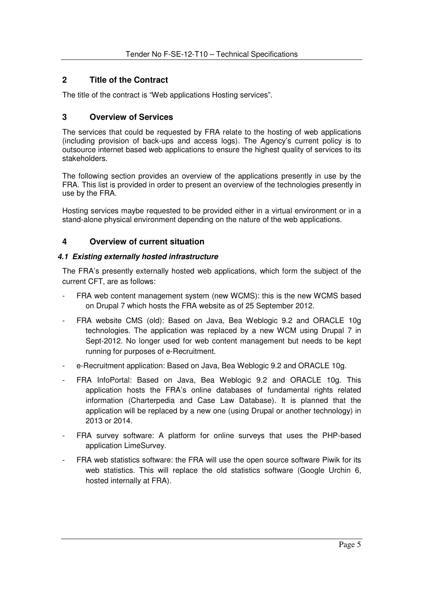# **2 Title of the Contract**

The title of the contract is "Web applications Hosting services".

# **3 Overview of Services**

The services that could be requested by FRA relate to the hosting of web applications (including provision of back-ups and access logs). The Agency's current policy is to outsource internet based web applications to ensure the highest quality of services to its stakeholders.

The following section provides an overview of the applications presently in use by the FRA. This list is provided in order to present an overview of the technologies presently in use by the FRA.

Hosting services maybe requested to be provided either in a virtual environment or in a stand-alone physical environment depending on the nature of the web applications.

# **4 Overview of current situation**

#### **4.1 Existing externally hosted infrastructure**

The FRA's presently externally hosted web applications, which form the subject of the current CFT, are as follows:

- FRA web content management system (new WCMS): this is the new WCMS based on Drupal 7 which hosts the FRA website as of 25 September 2012.
- FRA website CMS (old): Based on Java, Bea Weblogic 9.2 and ORACLE 10g technologies. The application was replaced by a new WCM using Drupal 7 in Sept-2012. No longer used for web content management but needs to be kept running for purposes of e-Recruitment.
- e-Recruitment application: Based on Java, Bea Weblogic 9.2 and ORACLE 10g.
- FRA InfoPortal: Based on Java, Bea Weblogic 9.2 and ORACLE 10g. This application hosts the FRA's online databases of fundamental rights related information (Charterpedia and Case Law Database). It is planned that the application will be replaced by a new one (using Drupal or another technology) in 2013 or 2014.
- FRA survey software: A platform for online surveys that uses the PHP-based application LimeSurvey.
- FRA web statistics software: the FRA will use the open source software Piwik for its web statistics. This will replace the old statistics software (Google Urchin 6, hosted internally at FRA).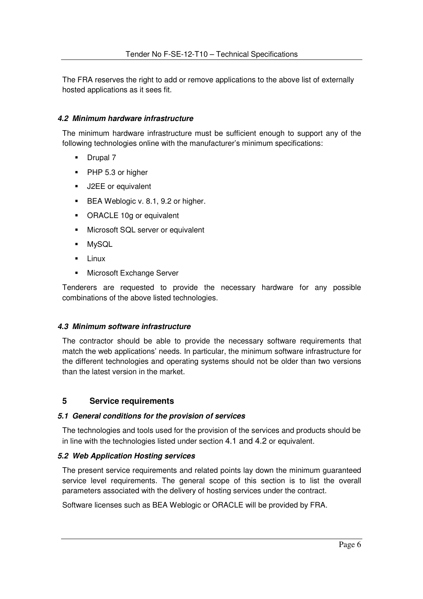The FRA reserves the right to add or remove applications to the above list of externally hosted applications as it sees fit.

#### **4.2 Minimum hardware infrastructure**

The minimum hardware infrastructure must be sufficient enough to support any of the following technologies online with the manufacturer's minimum specifications:

- Drupal 7
- **PHP 5.3 or higher**
- **J2EE** or equivalent
- **BEA Weblogic v. 8.1, 9.2 or higher.**
- ORACLE 10g or equivalent
- **Microsoft SQL server or equivalent**
- MySQL
- $-Linux$
- **Microsoft Exchange Server**

Tenderers are requested to provide the necessary hardware for any possible combinations of the above listed technologies.

#### **4.3 Minimum software infrastructure**

The contractor should be able to provide the necessary software requirements that match the web applications' needs. In particular, the minimum software infrastructure for the different technologies and operating systems should not be older than two versions than the latest version in the market.

#### **5 Service requirements**

#### **5.1 General conditions for the provision of services**

The technologies and tools used for the provision of the services and products should be in line with the technologies listed under section 4.1 and 4.2 or equivalent.

#### **5.2 Web Application Hosting services**

The present service requirements and related points lay down the minimum guaranteed service level requirements. The general scope of this section is to list the overall parameters associated with the delivery of hosting services under the contract.

Software licenses such as BEA Weblogic or ORACLE will be provided by FRA.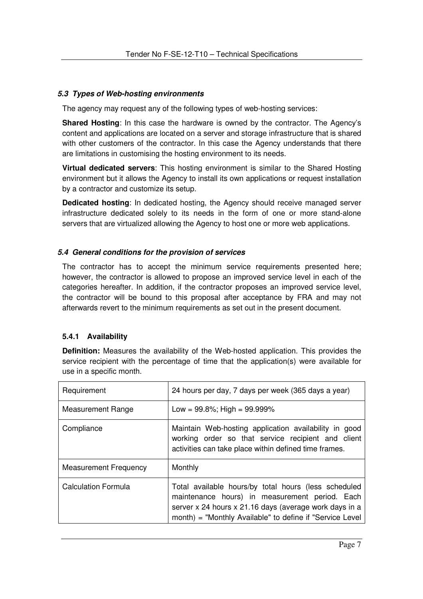# **5.3 Types of Web-hosting environments**

The agency may request any of the following types of web-hosting services:

**Shared Hosting**: In this case the hardware is owned by the contractor. The Agency's content and applications are located on a server and storage infrastructure that is shared with other customers of the contractor. In this case the Agency understands that there are limitations in customising the hosting environment to its needs.

**Virtual dedicated servers**: This hosting environment is similar to the Shared Hosting environment but it allows the Agency to install its own applications or request installation by a contractor and customize its setup.

**Dedicated hosting**: In dedicated hosting, the Agency should receive managed server infrastructure dedicated solely to its needs in the form of one or more stand-alone servers that are virtualized allowing the Agency to host one or more web applications.

#### **5.4 General conditions for the provision of services**

The contractor has to accept the minimum service requirements presented here; however, the contractor is allowed to propose an improved service level in each of the categories hereafter. In addition, if the contractor proposes an improved service level, the contractor will be bound to this proposal after acceptance by FRA and may not afterwards revert to the minimum requirements as set out in the present document.

# **5.4.1 Availability**

**Definition:** Measures the availability of the Web-hosted application. This provides the service recipient with the percentage of time that the application(s) were available for use in a specific month.

| Requirement                  | 24 hours per day, 7 days per week (365 days a year)                                                                                                                                                                          |  |
|------------------------------|------------------------------------------------------------------------------------------------------------------------------------------------------------------------------------------------------------------------------|--|
| <b>Measurement Range</b>     | Low = $99.8\%$ ; High = $99.999\%$                                                                                                                                                                                           |  |
| Compliance                   | Maintain Web-hosting application availability in good<br>working order so that service recipient and client<br>activities can take place within defined time frames.                                                         |  |
| <b>Measurement Frequency</b> | Monthly                                                                                                                                                                                                                      |  |
| Calculation Formula          | Total available hours/by total hours (less scheduled<br>maintenance hours) in measurement period. Each<br>server x 24 hours x 21.16 days (average work days in a<br>month) = "Monthly Available" to define if "Service Level |  |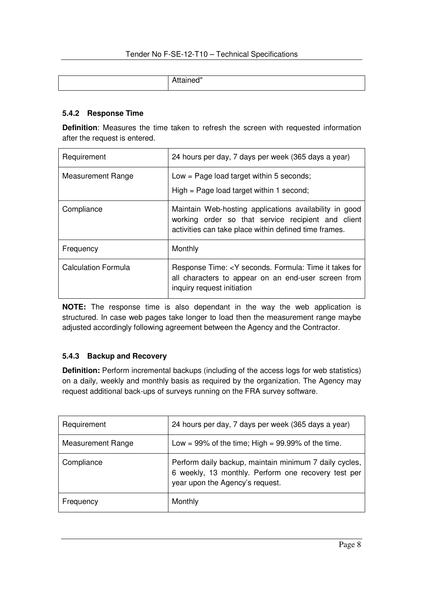| $-101$<br>. .<br>۱ ≀ ۱⊢ا<br> |
|------------------------------|
|                              |

#### **5.4.2 Response Time**

**Definition**: Measures the time taken to refresh the screen with requested information after the request is entered.

| Requirement                | 24 hours per day, 7 days per week (365 days a year)                                                                                                                   |
|----------------------------|-----------------------------------------------------------------------------------------------------------------------------------------------------------------------|
| <b>Measurement Range</b>   | Low = Page load target within 5 seconds;<br>$High = Page load target within 1 second;$                                                                                |
| Compliance                 | Maintain Web-hosting applications availability in good<br>working order so that service recipient and client<br>activities can take place within defined time frames. |
| Frequency                  | Monthly                                                                                                                                                               |
| <b>Calculation Formula</b> | Response Time: <y for<br="" formula:="" it="" seconds.="" takes="" time="">all characters to appear on an end-user screen from<br/>inquiry request initiation</y>     |

**NOTE:** The response time is also dependant in the way the web application is structured. In case web pages take longer to load then the measurement range maybe adjusted accordingly following agreement between the Agency and the Contractor.

# **5.4.3 Backup and Recovery**

**Definition:** Perform incremental backups (including of the access logs for web statistics) on a daily, weekly and monthly basis as required by the organization. The Agency may request additional back-ups of surveys running on the FRA survey software.

| Requirement              | 24 hours per day, 7 days per week (365 days a year)                                                                                              |
|--------------------------|--------------------------------------------------------------------------------------------------------------------------------------------------|
| <b>Measurement Range</b> | Low = $99\%$ of the time; High = $99.99\%$ of the time.                                                                                          |
| Compliance               | Perform daily backup, maintain minimum 7 daily cycles,<br>6 weekly, 13 monthly. Perform one recovery test per<br>year upon the Agency's request. |
| Frequency                | Monthly                                                                                                                                          |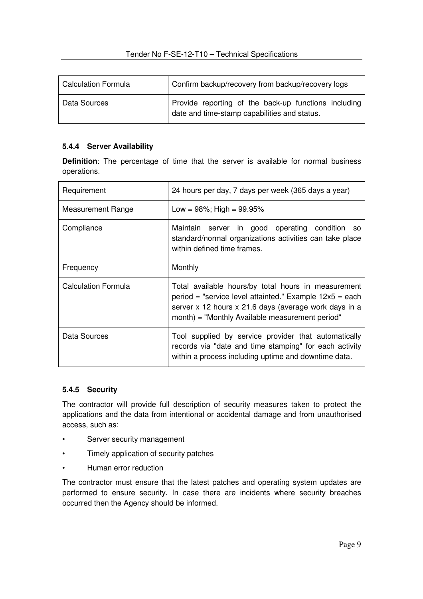| <b>Calculation Formula</b> | Confirm backup/recovery from backup/recovery logs                                                    |  |
|----------------------------|------------------------------------------------------------------------------------------------------|--|
| Data Sources               | Provide reporting of the back-up functions including<br>date and time-stamp capabilities and status. |  |

#### **5.4.4 Server Availability**

**Definition**: The percentage of time that the server is available for normal business operations.

| Requirement                | 24 hours per day, 7 days per week (365 days a year)                                                                                                                                                                        |  |
|----------------------------|----------------------------------------------------------------------------------------------------------------------------------------------------------------------------------------------------------------------------|--|
| <b>Measurement Range</b>   | Low = $98\%$ ; High = $99.95\%$                                                                                                                                                                                            |  |
| Compliance                 | Maintain server in good operating condition so<br>standard/normal organizations activities can take place<br>within defined time frames.                                                                                   |  |
| Frequency                  | Monthly                                                                                                                                                                                                                    |  |
| <b>Calculation Formula</b> | Total available hours/by total hours in measurement<br>period = "service level attainted." Example 12x5 = each<br>server x 12 hours x 21.6 days (average work days in a<br>month) = "Monthly Available measurement period" |  |
| Data Sources               | Tool supplied by service provider that automatically<br>records via "date and time stamping" for each activity<br>within a process including uptime and downtime data.                                                     |  |

#### **5.4.5 Security**

The contractor will provide full description of security measures taken to protect the applications and the data from intentional or accidental damage and from unauthorised access, such as:

- Server security management
- Timely application of security patches
- Human error reduction

The contractor must ensure that the latest patches and operating system updates are performed to ensure security. In case there are incidents where security breaches occurred then the Agency should be informed.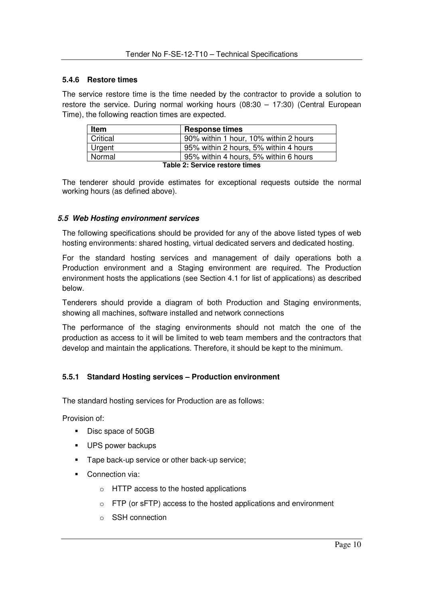#### **5.4.6 Restore times**

The service restore time is the time needed by the contractor to provide a solution to restore the service. During normal working hours (08:30 – 17:30) (Central European Time), the following reaction times are expected.

| <b>Item</b>                    | <b>Response times</b>                 |  |
|--------------------------------|---------------------------------------|--|
| Critical                       | 90% within 1 hour, 10% within 2 hours |  |
| Urgent                         | 95% within 2 hours, 5% within 4 hours |  |
| Normal                         | 95% within 4 hours, 5% within 6 hours |  |
| Table 2: Service restore times |                                       |  |

The tenderer should provide estimates for exceptional requests outside the normal working hours (as defined above).

#### **5.5 Web Hosting environment services**

The following specifications should be provided for any of the above listed types of web hosting environments: shared hosting, virtual dedicated servers and dedicated hosting.

For the standard hosting services and management of daily operations both a Production environment and a Staging environment are required. The Production environment hosts the applications (see Section 4.1 for list of applications) as described below.

Tenderers should provide a diagram of both Production and Staging environments, showing all machines, software installed and network connections

The performance of the staging environments should not match the one of the production as access to it will be limited to web team members and the contractors that develop and maintain the applications. Therefore, it should be kept to the minimum.

#### **5.5.1 Standard Hosting services – Production environment**

The standard hosting services for Production are as follows:

Provision of:

- Disc space of 50GB
- UPS power backups
- **Tape back-up service or other back-up service;**
- **Connection via:** 
	- o HTTP access to the hosted applications
	- $\circ$  FTP (or sFTP) access to the hosted applications and environment
	- o SSH connection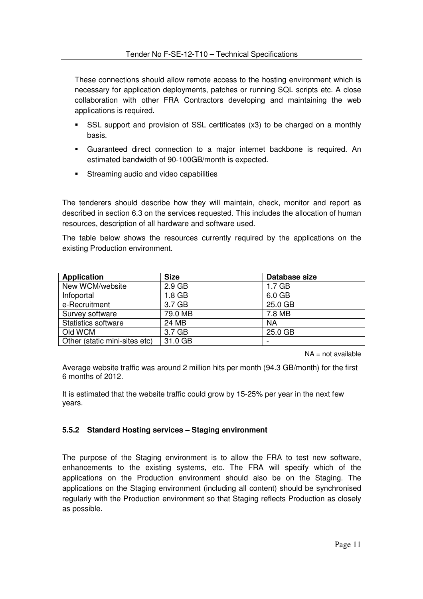These connections should allow remote access to the hosting environment which is necessary for application deployments, patches or running SQL scripts etc. A close collaboration with other FRA Contractors developing and maintaining the web applications is required.

- SSL support and provision of SSL certificates (x3) to be charged on a monthly basis.
- Guaranteed direct connection to a major internet backbone is required. An estimated bandwidth of 90-100GB/month is expected.
- **Streaming audio and video capabilities**

The tenderers should describe how they will maintain, check, monitor and report as described in section 6.3 on the services requested. This includes the allocation of human resources, description of all hardware and software used.

The table below shows the resources currently required by the applications on the existing Production environment.

| <b>Application</b>            | <b>Size</b> | Database size     |
|-------------------------------|-------------|-------------------|
| New WCM/website               | $2.9$ GB    | 1.7 <sub>GB</sub> |
| Infoportal                    | 1.8 GB      | 6.0 GB            |
| e-Recruitment                 | 3.7 GB      | 25.0 GB           |
| Survey software               | 79.0 MB     | 7.8 MB            |
| <b>Statistics software</b>    | 24 MB       | <b>NA</b>         |
| Old WCM                       | 3.7 GB      | 25.0 GB           |
| Other (static mini-sites etc) | 31.0 GB     |                   |

 $NA = not available$ 

Average website traffic was around 2 million hits per month (94.3 GB/month) for the first 6 months of 2012.

It is estimated that the website traffic could grow by 15-25% per year in the next few years.

# **5.5.2 Standard Hosting services – Staging environment**

The purpose of the Staging environment is to allow the FRA to test new software, enhancements to the existing systems, etc. The FRA will specify which of the applications on the Production environment should also be on the Staging. The applications on the Staging environment (including all content) should be synchronised regularly with the Production environment so that Staging reflects Production as closely as possible.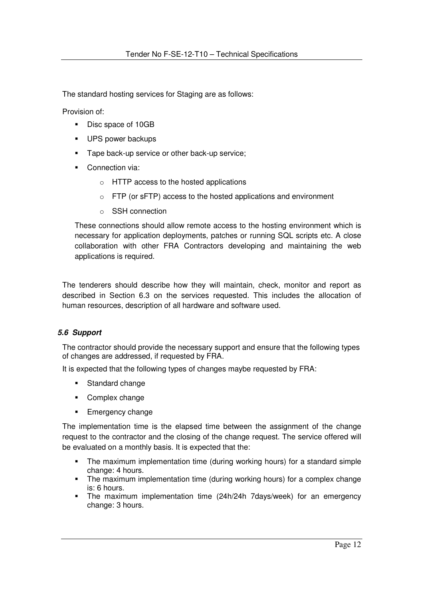The standard hosting services for Staging are as follows:

Provision of:

- Disc space of 10GB
- **UPS power backups**
- Tape back-up service or other back-up service:
- Connection via:
	- o HTTP access to the hosted applications
	- $\circ$  FTP (or sFTP) access to the hosted applications and environment
	- o SSH connection

These connections should allow remote access to the hosting environment which is necessary for application deployments, patches or running SQL scripts etc. A close collaboration with other FRA Contractors developing and maintaining the web applications is required.

The tenderers should describe how they will maintain, check, monitor and report as described in Section 6.3 on the services requested. This includes the allocation of human resources, description of all hardware and software used.

#### **5.6 Support**

The contractor should provide the necessary support and ensure that the following types of changes are addressed, if requested by FRA.

It is expected that the following types of changes maybe requested by FRA:

- **Standard change**
- Complex change
- **Emergency change**

The implementation time is the elapsed time between the assignment of the change request to the contractor and the closing of the change request. The service offered will be evaluated on a monthly basis. It is expected that the:

- The maximum implementation time (during working hours) for a standard simple change: 4 hours.
- The maximum implementation time (during working hours) for a complex change is: 6 hours.
- The maximum implementation time (24h/24h 7days/week) for an emergency change: 3 hours.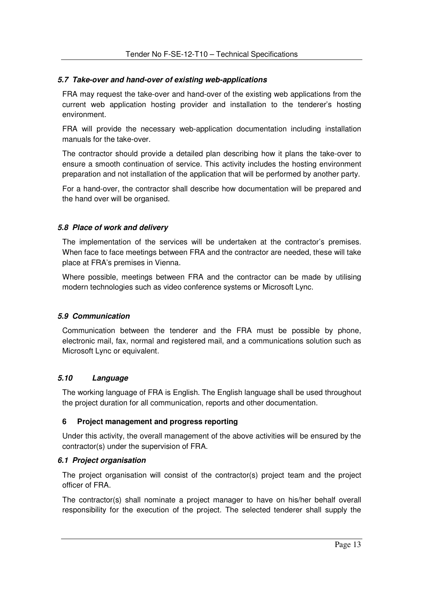#### **5.7 Take-over and hand-over of existing web-applications**

FRA may request the take-over and hand-over of the existing web applications from the current web application hosting provider and installation to the tenderer's hosting environment.

FRA will provide the necessary web-application documentation including installation manuals for the take-over.

The contractor should provide a detailed plan describing how it plans the take-over to ensure a smooth continuation of service. This activity includes the hosting environment preparation and not installation of the application that will be performed by another party.

For a hand-over, the contractor shall describe how documentation will be prepared and the hand over will be organised.

#### **5.8 Place of work and delivery**

The implementation of the services will be undertaken at the contractor's premises. When face to face meetings between FRA and the contractor are needed, these will take place at FRA's premises in Vienna.

Where possible, meetings between FRA and the contractor can be made by utilising modern technologies such as video conference systems or Microsoft Lync.

#### **5.9 Communication**

Communication between the tenderer and the FRA must be possible by phone, electronic mail, fax, normal and registered mail, and a communications solution such as Microsoft Lync or equivalent.

# **5.10 Language**

The working language of FRA is English. The English language shall be used throughout the project duration for all communication, reports and other documentation.

#### **6 Project management and progress reporting**

Under this activity, the overall management of the above activities will be ensured by the contractor(s) under the supervision of FRA.

#### **6.1 Project organisation**

The project organisation will consist of the contractor(s) project team and the project officer of FRA.

The contractor(s) shall nominate a project manager to have on his/her behalf overall responsibility for the execution of the project. The selected tenderer shall supply the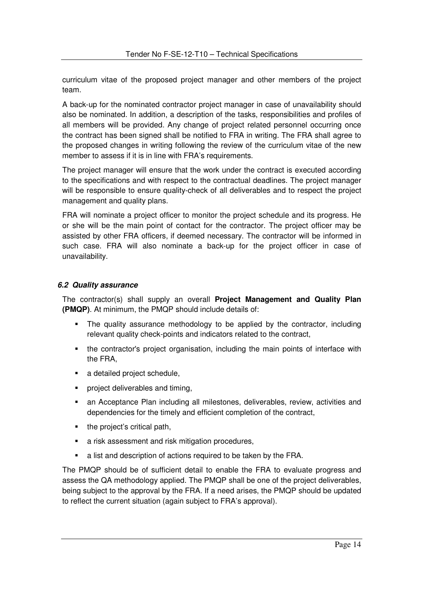curriculum vitae of the proposed project manager and other members of the project team.

A back-up for the nominated contractor project manager in case of unavailability should also be nominated. In addition, a description of the tasks, responsibilities and profiles of all members will be provided. Any change of project related personnel occurring once the contract has been signed shall be notified to FRA in writing. The FRA shall agree to the proposed changes in writing following the review of the curriculum vitae of the new member to assess if it is in line with FRA's requirements.

The project manager will ensure that the work under the contract is executed according to the specifications and with respect to the contractual deadlines. The project manager will be responsible to ensure quality-check of all deliverables and to respect the project management and quality plans.

FRA will nominate a project officer to monitor the project schedule and its progress. He or she will be the main point of contact for the contractor. The project officer may be assisted by other FRA officers, if deemed necessary. The contractor will be informed in such case. FRA will also nominate a back-up for the project officer in case of unavailability.

#### **6.2 Quality assurance**

The contractor(s) shall supply an overall **Project Management and Quality Plan (PMQP)**. At minimum, the PMQP should include details of:

- The quality assurance methodology to be applied by the contractor, including relevant quality check-points and indicators related to the contract,
- the contractor's project organisation, including the main points of interface with the FRA,
- a detailed project schedule,
- **•** project deliverables and timing,
- an Acceptance Plan including all milestones, deliverables, review, activities and dependencies for the timely and efficient completion of the contract,
- the project's critical path.
- **a** risk assessment and risk mitigation procedures,
- a list and description of actions required to be taken by the FRA.

The PMQP should be of sufficient detail to enable the FRA to evaluate progress and assess the QA methodology applied. The PMQP shall be one of the project deliverables, being subject to the approval by the FRA. If a need arises, the PMQP should be updated to reflect the current situation (again subject to FRA's approval).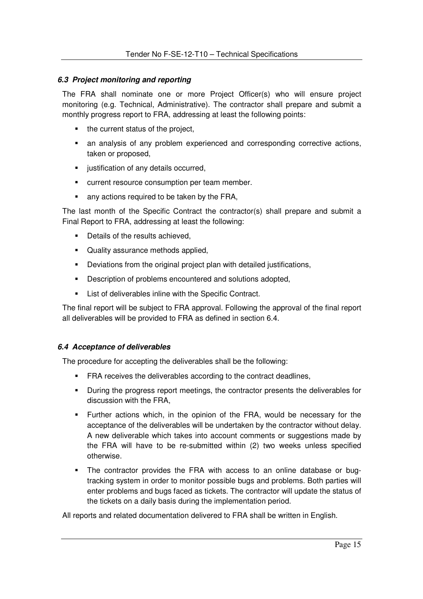#### **6.3 Project monitoring and reporting**

The FRA shall nominate one or more Project Officer(s) who will ensure project monitoring (e.g. Technical, Administrative). The contractor shall prepare and submit a monthly progress report to FRA, addressing at least the following points:

- the current status of the project,
- an analysis of any problem experienced and corresponding corrective actions, taken or proposed,
- **u** justification of any details occurred,
- **•** current resource consumption per team member.
- any actions required to be taken by the FRA,

The last month of the Specific Contract the contractor(s) shall prepare and submit a Final Report to FRA, addressing at least the following:

- Details of the results achieved.
- Quality assurance methods applied.
- Deviations from the original project plan with detailed justifications,
- Description of problems encountered and solutions adopted.
- **EXECT:** List of deliverables inline with the Specific Contract.

The final report will be subject to FRA approval. Following the approval of the final report all deliverables will be provided to FRA as defined in section 6.4.

#### **6.4 Acceptance of deliverables**

The procedure for accepting the deliverables shall be the following:

- **FRA receives the deliverables according to the contract deadlines,**
- During the progress report meetings, the contractor presents the deliverables for discussion with the FRA,
- Further actions which, in the opinion of the FRA, would be necessary for the acceptance of the deliverables will be undertaken by the contractor without delay. A new deliverable which takes into account comments or suggestions made by the FRA will have to be re-submitted within (2) two weeks unless specified otherwise.
- The contractor provides the FRA with access to an online database or bugtracking system in order to monitor possible bugs and problems. Both parties will enter problems and bugs faced as tickets. The contractor will update the status of the tickets on a daily basis during the implementation period.

All reports and related documentation delivered to FRA shall be written in English.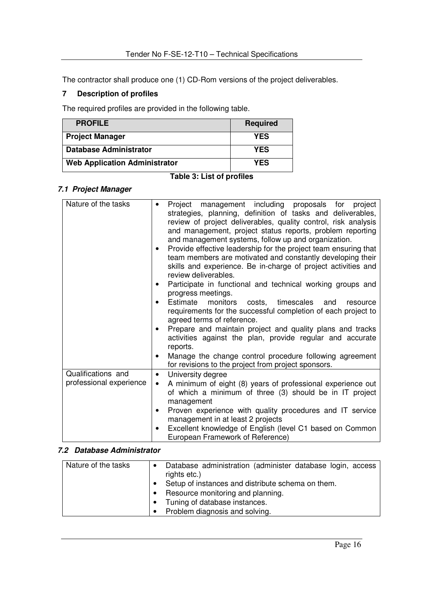The contractor shall produce one (1) CD-Rom versions of the project deliverables.

# **7 Description of profiles**

The required profiles are provided in the following table.

| <b>PROFILE</b>                       | <b>Required</b> |
|--------------------------------------|-----------------|
| <b>Project Manager</b>               | <b>YES</b>      |
| <b>Database Administrator</b>        | <b>YES</b>      |
| <b>Web Application Administrator</b> | <b>YES</b>      |

#### **Table 3: List of profiles**

# **7.1 Project Manager**

| Nature of the tasks                           | Project management including proposals for<br>project<br>$\bullet$                                                                  |
|-----------------------------------------------|-------------------------------------------------------------------------------------------------------------------------------------|
|                                               | strategies, planning, definition of tasks and deliverables,                                                                         |
|                                               | review of project deliverables, quality control, risk analysis                                                                      |
|                                               | and management, project status reports, problem reporting                                                                           |
|                                               | and management systems, follow up and organization.                                                                                 |
|                                               | Provide effective leadership for the project team ensuring that<br>٠                                                                |
|                                               | team members are motivated and constantly developing their                                                                          |
|                                               | skills and experience. Be in-charge of project activities and<br>review deliverables.                                               |
|                                               | Participate in functional and technical working groups and<br>٠                                                                     |
|                                               | progress meetings.                                                                                                                  |
|                                               | Estimate monitors costs, timescales<br>and<br>$\bullet$<br>resource                                                                 |
|                                               | requirements for the successful completion of each project to                                                                       |
|                                               | agreed terms of reference.                                                                                                          |
|                                               | Prepare and maintain project and quality plans and tracks<br>$\bullet$                                                              |
|                                               | activities against the plan, provide regular and accurate                                                                           |
|                                               | reports.                                                                                                                            |
|                                               | Manage the change control procedure following agreement<br>$\bullet$                                                                |
|                                               | for revisions to the project from project sponsors.                                                                                 |
| Qualifications and<br>professional experience | University degree<br>$\bullet$                                                                                                      |
|                                               | A minimum of eight (8) years of professional experience out<br>$\bullet$<br>of which a minimum of three (3) should be in IT project |
|                                               | management                                                                                                                          |
|                                               | Proven experience with quality procedures and IT service<br>٠                                                                       |
|                                               | management in at least 2 projects                                                                                                   |
|                                               | Excellent knowledge of English (level C1 based on Common<br>٠                                                                       |
|                                               | European Framework of Reference)                                                                                                    |

#### **7.2 Database Administrator**

| Nature of the tasks | Database administration (administer database login, access<br>rights etc.)<br>Setup of instances and distribute schema on them.<br>Resource monitoring and planning.<br>Tuning of database instances.<br>Problem diagnosis and solving. |
|---------------------|-----------------------------------------------------------------------------------------------------------------------------------------------------------------------------------------------------------------------------------------|
|---------------------|-----------------------------------------------------------------------------------------------------------------------------------------------------------------------------------------------------------------------------------------|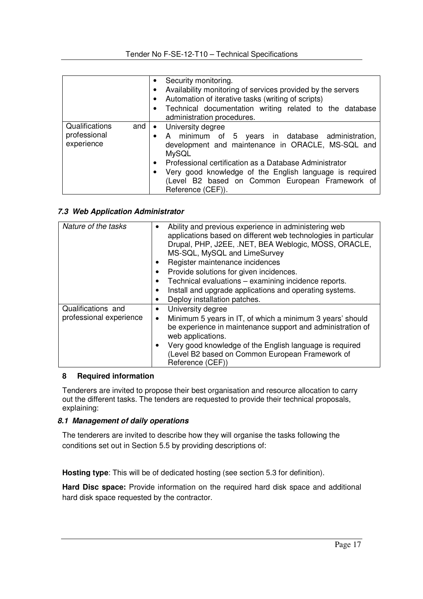|                                              |     | Security monitoring.<br>$\bullet$<br>Availability monitoring of services provided by the servers<br>$\bullet$<br>Automation of iterative tasks (writing of scripts)<br>$\bullet$<br>Technical documentation writing related to the database<br>$\bullet$<br>administration procedures.                                                                                                      |
|----------------------------------------------|-----|---------------------------------------------------------------------------------------------------------------------------------------------------------------------------------------------------------------------------------------------------------------------------------------------------------------------------------------------------------------------------------------------|
| Qualifications<br>professional<br>experience | and | University degree<br>$\bullet$<br>A minimum of 5 years in database administration,<br>$\bullet$<br>development and maintenance in ORACLE, MS-SQL and<br><b>MySQL</b><br>Professional certification as a Database Administrator<br>$\bullet$<br>Very good knowledge of the English language is required<br>$\bullet$<br>(Level B2 based on Common European Framework of<br>Reference (CEF)). |

#### **7.3 Web Application Administrator**

| Nature of the tasks     | Ability and previous experience in administering web           |
|-------------------------|----------------------------------------------------------------|
|                         | applications based on different web technologies in particular |
|                         | Drupal, PHP, J2EE, .NET, BEA Weblogic, MOSS, ORACLE,           |
|                         | MS-SQL, MySQL and LimeSurvey                                   |
|                         | Register maintenance incidences                                |
|                         | Provide solutions for given incidences.                        |
|                         | Technical evaluations - examining incidence reports.           |
|                         | Install and upgrade applications and operating systems.        |
|                         | Deploy installation patches.                                   |
| Qualifications and      | University degree                                              |
| professional experience | Minimum 5 years in IT, of which a minimum 3 years' should      |
|                         | be experience in maintenance support and administration of     |
|                         | web applications.                                              |
|                         | Very good knowledge of the English language is required        |
|                         | (Level B2 based on Common European Framework of                |
|                         | Reference (CEF))                                               |

#### **8 Required information**

Tenderers are invited to propose their best organisation and resource allocation to carry out the different tasks. The tenders are requested to provide their technical proposals, explaining:

#### **8.1 Management of daily operations**

The tenderers are invited to describe how they will organise the tasks following the conditions set out in Section 5.5 by providing descriptions of:

**Hosting type**: This will be of dedicated hosting (see section 5.3 for definition).

**Hard Disc space:** Provide information on the required hard disk space and additional hard disk space requested by the contractor.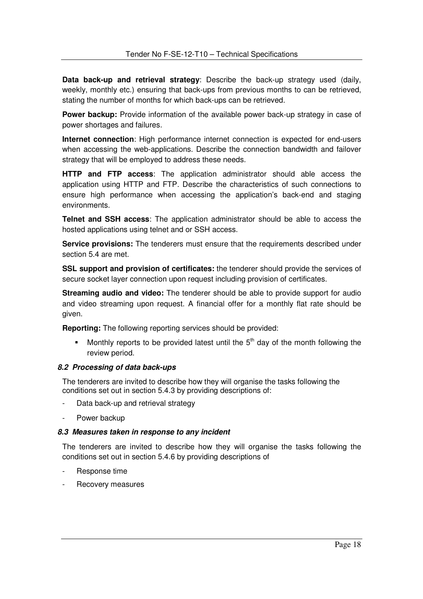**Data back-up and retrieval strategy**: Describe the back-up strategy used (daily, weekly, monthly etc.) ensuring that back-ups from previous months to can be retrieved, stating the number of months for which back-ups can be retrieved.

**Power backup:** Provide information of the available power back-up strategy in case of power shortages and failures.

**Internet connection**: High performance internet connection is expected for end-users when accessing the web-applications. Describe the connection bandwidth and failover strategy that will be employed to address these needs.

**HTTP and FTP access**: The application administrator should able access the application using HTTP and FTP. Describe the characteristics of such connections to ensure high performance when accessing the application's back-end and staging environments.

**Telnet and SSH access**: The application administrator should be able to access the hosted applications using telnet and or SSH access.

**Service provisions:** The tenderers must ensure that the requirements described under section 5.4 are met.

**SSL support and provision of certificates:** the tenderer should provide the services of secure socket layer connection upon request including provision of certificates.

**Streaming audio and video:** The tenderer should be able to provide support for audio and video streaming upon request. A financial offer for a monthly flat rate should be given.

**Reporting:** The following reporting services should be provided:

Monthly reports to be provided latest until the  $5<sup>th</sup>$  day of the month following the review period.

#### **8.2 Processing of data back-ups**

The tenderers are invited to describe how they will organise the tasks following the conditions set out in section 5.4.3 by providing descriptions of:

- Data back-up and retrieval strategy
- Power backup

#### **8.3 Measures taken in response to any incident**

The tenderers are invited to describe how they will organise the tasks following the conditions set out in section 5.4.6 by providing descriptions of

- Response time
- Recovery measures